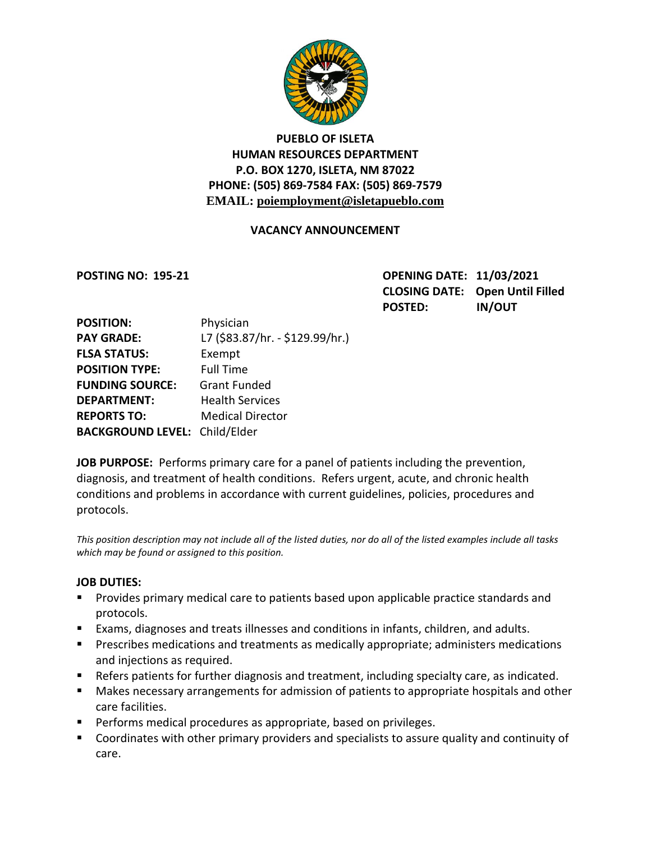

# **PUEBLO OF ISLETA HUMAN RESOURCES DEPARTMENT P.O. BOX 1270, ISLETA, NM 87022 PHONE: (505) 869-7584 FAX: (505) 869-7579 EMAIL: poiemployment@isletapueblo.com**

### **VACANCY ANNOUNCEMENT**

**POSTING NO: 195-21 OPENING DATE: 11/03/2021 CLOSING DATE: Open Until Filled POSTED: IN/OUT**

| <b>POSITION:</b>                     | Physician                       |
|--------------------------------------|---------------------------------|
| <b>PAY GRADE:</b>                    | L7 (\$83.87/hr. - \$129.99/hr.) |
| <b>FLSA STATUS:</b>                  | Exempt                          |
| <b>POSITION TYPE:</b>                | <b>Full Time</b>                |
| <b>FUNDING SOURCE:</b>               | <b>Grant Funded</b>             |
| <b>DEPARTMENT:</b>                   | <b>Health Services</b>          |
| <b>REPORTS TO:</b>                   | <b>Medical Director</b>         |
| <b>BACKGROUND LEVEL: Child/Elder</b> |                                 |

**JOB PURPOSE:** Performs primary care for a panel of patients including the prevention, diagnosis, and treatment of health conditions. Refers urgent, acute, and chronic health conditions and problems in accordance with current guidelines, policies, procedures and protocols.

*This position description may not include all of the listed duties, nor do all of the listed examples include all tasks which may be found or assigned to this position.*

### **JOB DUTIES:**

- **Provides primary medical care to patients based upon applicable practice standards and** protocols.
- Exams, diagnoses and treats illnesses and conditions in infants, children, and adults.
- **Prescribes medications and treatments as medically appropriate; administers medications** and injections as required.
- Refers patients for further diagnosis and treatment, including specialty care, as indicated.
- Makes necessary arrangements for admission of patients to appropriate hospitals and other care facilities.
- **Performs medical procedures as appropriate, based on privileges.**
- Coordinates with other primary providers and specialists to assure quality and continuity of care.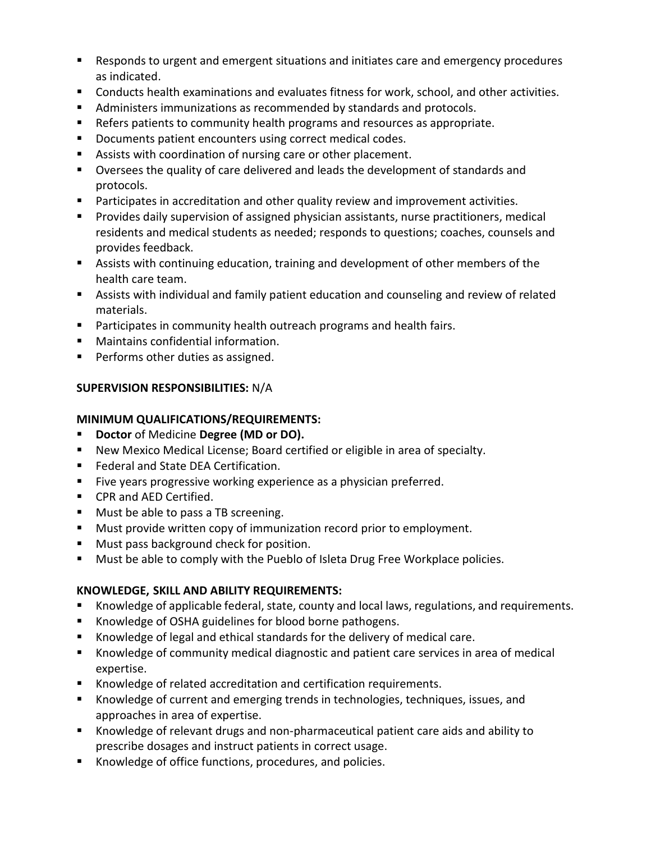- Responds to urgent and emergent situations and initiates care and emergency procedures as indicated.
- Conducts health examinations and evaluates fitness for work, school, and other activities.
- Administers immunizations as recommended by standards and protocols.
- Refers patients to community health programs and resources as appropriate.
- **Documents patient encounters using correct medical codes.**
- Assists with coordination of nursing care or other placement.
- Oversees the quality of care delivered and leads the development of standards and protocols.
- **Participates in accreditation and other quality review and improvement activities.**
- Provides daily supervision of assigned physician assistants, nurse practitioners, medical residents and medical students as needed; responds to questions; coaches, counsels and provides feedback.
- Assists with continuing education, training and development of other members of the health care team.
- Assists with individual and family patient education and counseling and review of related materials.
- **Participates in community health outreach programs and health fairs.**
- **Maintains confidential information.**
- **Performs other duties as assigned.**

# **SUPERVISION RESPONSIBILITIES:** N/A

### **MINIMUM QUALIFICATIONS/REQUIREMENTS:**

- **Doctor** of Medicine **Degree (MD or DO).**
- New Mexico Medical License; Board certified or eligible in area of specialty.
- **Federal and State DEA Certification.**
- Five years progressive working experience as a physician preferred.
- **CPR and AED Certified.**
- **Must be able to pass a TB screening.**
- **Must provide written copy of immunization record prior to employment.**
- **Must pass background check for position.**
- **Must be able to comply with the Pueblo of Isleta Drug Free Workplace policies.**

## **KNOWLEDGE, SKILL AND ABILITY REQUIREMENTS:**

- Knowledge of applicable federal, state, county and local laws, regulations, and requirements.
- Knowledge of OSHA guidelines for blood borne pathogens.
- Knowledge of legal and ethical standards for the delivery of medical care.
- Knowledge of community medical diagnostic and patient care services in area of medical expertise.
- Knowledge of related accreditation and certification requirements.
- Knowledge of current and emerging trends in technologies, techniques, issues, and approaches in area of expertise.
- Knowledge of relevant drugs and non-pharmaceutical patient care aids and ability to prescribe dosages and instruct patients in correct usage.
- Knowledge of office functions, procedures, and policies.